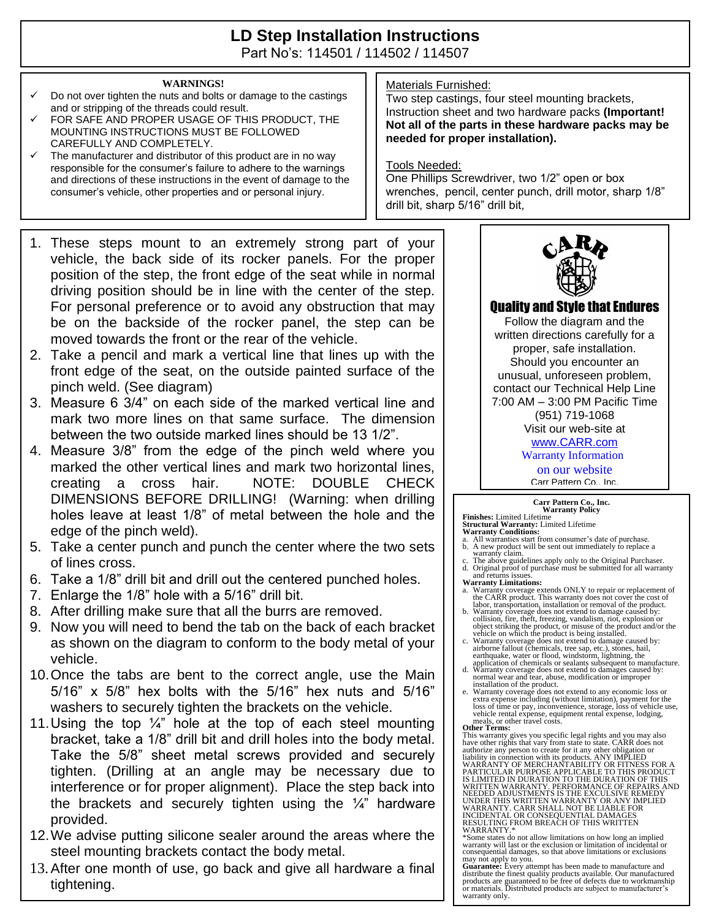# **LD Step Installation Instructions**

Part No's: 114501 / 114502 / 114507

### **WARNINGS!**

- Do not over tighten the nuts and bolts or damage to the castings and or stripping of the threads could result.
- FOR SAFE AND PROPER USAGE OF THIS PRODUCT, THE MOUNTING INSTRUCTIONS MUST BE FOLLOWED CAREFULLY AND COMPLETELY.
- $\checkmark$  The manufacturer and distributor of this product are in no way responsible for the consumer's failure to adhere to the warnings and directions of these instructions in the event of damage to the consumer's vehicle, other properties and or personal injury.
- 1. These steps mount to an extremely strong part of your vehicle, the back side of its rocker panels. For the proper position of the step, the front edge of the seat while in normal driving position should be in line with the center of the step. For personal preference or to avoid any obstruction that may be on the backside of the rocker panel, the step can be moved towards the front or the rear of the vehicle.
- 2. Take a pencil and mark a vertical line that lines up with the front edge of the seat, on the outside painted surface of the pinch weld. (See diagram)
- 3. Measure 6 3/4" on each side of the marked vertical line and mark two more lines on that same surface. The dimension between the two outside marked lines should be 13 1/2".
- 4. Measure 3/8" from the edge of the pinch weld where you marked the other vertical lines and mark two horizontal lines, creating a cross hair. NOTE: DOUBLE CHECK DIMENSIONS BEFORE DRILLING! (Warning: when drilling holes leave at least 1/8" of metal between the hole and the edge of the pinch weld).
- 5. Take a center punch and punch the center where the two sets of lines cross.
- 6. Take a 1/8" drill bit and drill out the centered punched holes.
- 7. Enlarge the 1/8" hole with a 5/16" drill bit.
- 8. After drilling make sure that all the burrs are removed.
- 9. Now you will need to bend the tab on the back of each bracket as shown on the diagram to conform to the body metal of your vehicle.
- 10.Once the tabs are bent to the correct angle, use the Main 5/16" x 5/8" hex bolts with the 5/16" hex nuts and 5/16" washers to securely tighten the brackets on the vehicle.
- 11. Using the top  $\frac{1}{4}$ " hole at the top of each steel mounting bracket, take a 1/8" drill bit and drill holes into the body metal. Take the 5/8" sheet metal screws provided and securely tighten. (Drilling at an angle may be necessary due to interference or for proper alignment). Place the step back into the brackets and securely tighten using the  $\frac{1}{4}$ " hardware provided.
- 12.We advise putting silicone sealer around the areas where the steel mounting brackets contact the body metal.
- 13.After one month of use, go back and give all hardware a final tightening.

### Materials Furnished:

Two step castings, four steel mounting brackets, Instruction sheet and two hardware packs **(Important! Not all of the parts in these hardware packs may be needed for proper installation).**

#### Tools Needed:

One Phillips Screwdriver, two 1/2" open or box wrenches, pencil, center punch, drill motor, sharp 1/8" drill bit, sharp 5/16" drill bit,



Quality and Style that Endures

Follow the diagram and the written directions carefully for a proper, safe installation. Should you encounter an unusual, unforeseen problem, contact our Technical Help Line 7:00 AM – 3:00 PM Pacific Time (951) 719-1068 Visit our web-site at [www.CARR.com](http://www.carr.com/)

Warranty Information

on our website

Carr Pattern Co., Inc.

## **Carr Pattern Co., Inc. Warranty Policy**

- **Finishes:** Limited Lifetime<br>**Structural Warranty:** Limited Lifetime<br>**Warranty Conditions:**<br>a. All warranties start from consumer's date of purchase.<br>b. A new product will be sent out immediately to replace a<br>warranty clai
- d. Original proof of purchase must be submitted for all warranty and returns issues.
- **Warranty Limitations:**
- a. Warranty coverage extends ONLY to repair or replacement of the CARR product. This warranty does not cover the cost of
- labor, transportation, installation or removal of the product. b. Warranty coverage does not extend to damage caused by: collision, fire, theft, freezing, vandalism, riot, explosion or object striking the product, or misuse of the product and/or the vehicle on which the product is being installed. c. Warranty coverage does not extend to damage caused by:
- airborne fallout (chemicals, tree sap, etc.), stones, hail, earthquake, water or flood, windstorm, lightning, the
- application of chemicals or sealants subsequent to manufacture. d. Warranty coverage does not extend to damages caused by: normal wear and tear, abuse, modification or improper
- installation of the product.<br>
Warranty coverage does not extend to any economic loss or<br>
warranty coverage does not extend to any economic loss or<br>
extra expense including (without limitation), payment for the<br>
loss of tim

**Other Terms:**<br>This warranty gives you specific legal rights and you may also have other rights that vary from state to state. CARR does not<br>authorize any person to create for it any other obligation or<br>liability in connection with its products. ANY IMPLIED<br>WARRANTY OF MERCHANTABILITY OR FITNESS FOR WRITTEN WARRANTY. PERFORMANCE OF REPAIRS AND<br>NEEDED ADJUSTMENTS IS THE EXCULSIVE REMEDY<br>UNDER THIS WRITTEN WARRANTY OR ANY IMPLIED WARRANTY. CARR SHALL NOT BE LIABLE FOR INCIDENTAL OR CONSEQUENTIAL DAMAGES RESULTING FROM BREACH OF THIS WRITTEN WARRANTY.\* \*Some states do not allow limitations on how long an implied

warranty will last or the exclusion or limitation of incidental or consequential damages, so that above limitations or exclusions

may not apply to you.<br>**Guarantee:** Every attempt has been made to manufacture and<br>distribute the finest quality products available. Our manufactured<br>products are guaranteed to be free of defects due to workmanship<br>or mater warranty only.